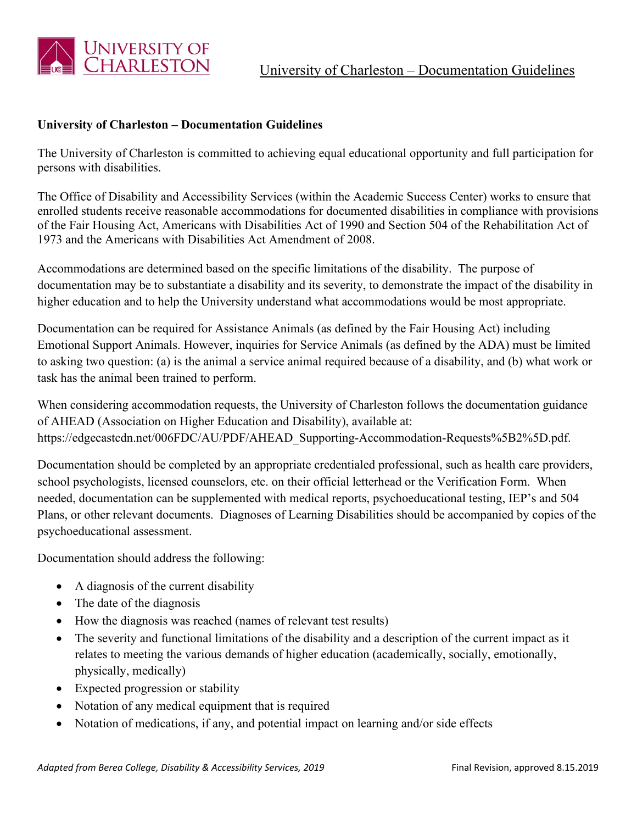

## **University of Charleston – Documentation Guidelines**

The University of Charleston is committed to achieving equal educational opportunity and full participation for persons with disabilities.

The Office of Disability and Accessibility Services (within the Academic Success Center) works to ensure that enrolled students receive reasonable accommodations for documented disabilities in compliance with provisions of the Fair Housing Act, Americans with Disabilities Act of 1990 and Section 504 of the Rehabilitation Act of 1973 and the Americans with Disabilities Act Amendment of 2008.

Accommodations are determined based on the specific limitations of the disability. The purpose of documentation may be to substantiate a disability and its severity, to demonstrate the impact of the disability in higher education and to help the University understand what accommodations would be most appropriate.

Documentation can be required for Assistance Animals (as defined by the Fair Housing Act) including Emotional Support Animals. However, inquiries for Service Animals (as defined by the ADA) must be limited to asking two question: (a) is the animal a service animal required because of a disability, and (b) what work or task has the animal been trained to perform.

When considering accommodation requests, the University of Charleston follows the documentation guidance of AHEAD (Association on Higher Education and Disability), available at: https://edgecastcdn.net/006FDC/AU/PDF/AHEAD\_Supporting-Accommodation-Requests%5B2%5D.pdf.

Documentation should be completed by an appropriate credentialed professional, such as health care providers, school psychologists, licensed counselors, etc. on their official letterhead or the Verification Form. When needed, documentation can be supplemented with medical reports, psychoeducational testing, IEP's and 504 Plans, or other relevant documents. Diagnoses of Learning Disabilities should be accompanied by copies of the psychoeducational assessment.

Documentation should address the following:

- A diagnosis of the current disability
- The date of the diagnosis
- How the diagnosis was reached (names of relevant test results)
- The severity and functional limitations of the disability and a description of the current impact as it relates to meeting the various demands of higher education (academically, socially, emotionally, physically, medically)
- Expected progression or stability
- Notation of any medical equipment that is required
- Notation of medications, if any, and potential impact on learning and/or side effects